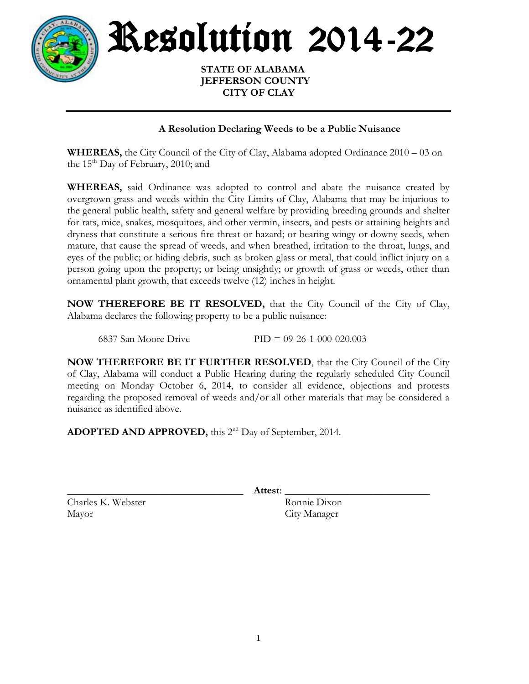

Resolution 2014-22

 **STATE OF ALABAMA JEFFERSON COUNTY CITY OF CLAY**

## **A Resolution Declaring Weeds to be a Public Nuisance**

**WHEREAS,** the City Council of the City of Clay, Alabama adopted Ordinance 2010 – 03 on the  $15<sup>th</sup>$  Day of February, 2010; and

**WHEREAS,** said Ordinance was adopted to control and abate the nuisance created by overgrown grass and weeds within the City Limits of Clay, Alabama that may be injurious to the general public health, safety and general welfare by providing breeding grounds and shelter for rats, mice, snakes, mosquitoes, and other vermin, insects, and pests or attaining heights and dryness that constitute a serious fire threat or hazard; or bearing wingy or downy seeds, when mature, that cause the spread of weeds, and when breathed, irritation to the throat, lungs, and eyes of the public; or hiding debris, such as broken glass or metal, that could inflict injury on a person going upon the property; or being unsightly; or growth of grass or weeds, other than ornamental plant growth, that exceeds twelve (12) inches in height.

**NOW THEREFORE BE IT RESOLVED,** that the City Council of the City of Clay, Alabama declares the following property to be a public nuisance:

6837 San Moore Drive PID = 09-26-1-000-020.003

**NOW THEREFORE BE IT FURTHER RESOLVED**, that the City Council of the City of Clay, Alabama will conduct a Public Hearing during the regularly scheduled City Council meeting on Monday October 6, 2014, to consider all evidence, objections and protests regarding the proposed removal of weeds and/or all other materials that may be considered a nuisance as identified above.

ADOPTED AND APPROVED, this 2<sup>nd</sup> Day of September, 2014.

\_\_\_\_\_\_\_\_\_\_\_\_\_\_\_\_\_\_\_\_\_\_\_\_\_\_\_\_\_\_\_\_\_\_ **Attest**: \_\_\_\_\_\_\_\_\_\_\_\_\_\_\_\_\_\_\_\_\_\_\_\_\_\_\_\_

Charles K. Webster Ronnie Dixon Mayor City Manager